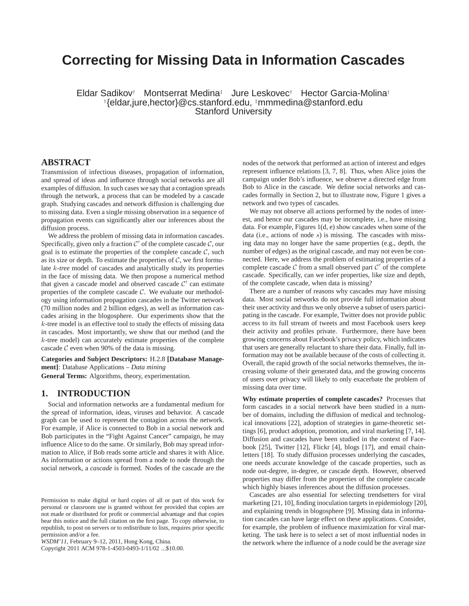# **Correcting for Missing Data in Information Cascades**

Eldar Sadikov† Montserrat Medina‡ Jure Leskovec† Hector Garcia-Molina† † {eldar,jure,hector}@cs.stanford.edu, ‡mmmedina@stanford.edu Stanford University

## **ABSTRACT**

Transmission of infectious diseases, propagation of information, and spread of ideas and influence through social networks are all examples of diffusion. In such cases we say that a contagion spreads through the network, a process that can be modeled by a cascade graph. Studying cascades and network diffusion is challenging due to missing data. Even a single missing observation in a sequence of propagation events can significantly alter our inferences about the diffusion process.

We address the problem of missing data in information cascades. Specifically, given only a fraction  $\mathcal{C}'$  of the complete cascade  $\mathcal{C}$ , our goal is to estimate the properties of the complete cascade  $C$ , such as its size or depth. To estimate the properties of  $C$ , we first formulate k*-tree* model of cascades and analytically study its properties in the face of missing data. We then propose a numerical method that given a cascade model and observed cascade  $\mathcal{C}'$  can estimate properties of the complete cascade  $C$ . We evaluate our methodology using information propagation cascades in the Twitter network (70 million nodes and 2 billion edges), as well as information cascades arising in the blogosphere. Our experiments show that the k-tree model is an effective tool to study the effects of missing data in cascades. Most importantly, we show that our method (and the k-tree model) can accurately estimate properties of the complete cascade  $C$  even when 90% of the data is missing.

**Categories and Subject Descriptors:** H.2.8 **[Database Management]**: Database Applications – *Data mining* **General Terms:** Algorithms, theory, experimentation.

# **1. INTRODUCTION**

Social and information networks are a fundamental medium for the spread of information, ideas, viruses and behavior. A cascade graph can be used to represent the contagion across the network. For example, if Alice is connected to Bob in a social network and Bob participates in the "Fight Against Cancer" campaign, he may influence Alice to do the same. Or similarly, Bob may spread information to Alice, if Bob reads some article and shares it with Alice. As information or actions spread from a node to node through the social network, a *cascade* is formed. Nodes of the cascade are the

Copyright 2011 ACM 978-1-4503-0493-1/11/02 ...\$10.00.

nodes of the network that performed an action of interest and edges represent influence relations [3, 7, 8]. Thus, when Alice joins the campaign under Bob's influence, we observe a directed edge from Bob to Alice in the cascade. We define social networks and cascades formally in Section 2, but to illustrate now, Figure 1 gives a network and two types of cascades.

We may not observe all actions performed by the nodes of interest, and hence our cascades may be incomplete, i.e., have missing data. For example, Figures 1(d, e) show cascades when some of the data (i.e., actions of node  $s$ ) is missing. The cascades with missing data may no longer have the same properties (e.g., depth, the number of edges) as the original cascade, and may not even be connected. Here, we address the problem of estimating properties of a complete cascade  $C$  from a small observed part  $C'$  of the complete cascade. Specifically, can we infer properties, like size and depth, of the complete cascade, when data is missing?

There are a number of reasons why cascades may have missing data. Most social networks do not provide full information about their user activity and thus we only observe a subset of users participating in the cascade. For example, Twitter does not provide public access to its full stream of tweets and most Facebook users keep their activity and profiles private. Furthermore, there have been growing concerns about Facebook's privacy policy, which indicates that users are generally reluctant to share their data. Finally, full information may not be available because of the costs of collecting it. Overall, the rapid growth of the social networks themselves, the increasing volume of their generated data, and the growing concerns of users over privacy will likely to only exacerbate the problem of missing data over time.

**Why estimate properties of complete cascades?** Processes that form cascades in a social network have been studied in a number of domains, including the diffusion of medical and technological innovations [22], adoption of strategies in game-theoretic settings [6], product adoption, promotion, and viral marketing [7, 14]. Diffusion and cascades have been studied in the context of Facebook [25], Twitter [12], Flickr [4], blogs [17], and email chainletters [18]. To study diffusion processes underlying the cascades, one needs accurate knowledge of the cascade properties, such as node out-degree, in-degree, or cascade depth. However, observed properties may differ from the properties of the complete cascade which highly biases inferences about the diffusion processes.

Cascades are also essential for selecting trendsetters for viral marketing [21, 10], finding inoculation targets in epidemiology [20], and explaining trends in blogosphere [9]. Missing data in information cascades can have large effect on these applications. Consider, for example, the problem of influence maximization for viral marketing. The task here is to select a set of most influential nodes in the network where the influence of a node could be the average size

Permission to make digital or hard copies of all or part of this work for personal or classroom use is granted without fee provided that copies are not made or distributed for profit or commercial advantage and that copies bear this notice and the full citation on the first page. To copy otherwise, to republish, to post on servers or to redistribute to lists, requires prior specific permission and/or a fee.

*WSDM'11,* February 9–12, 2011, Hong Kong, China.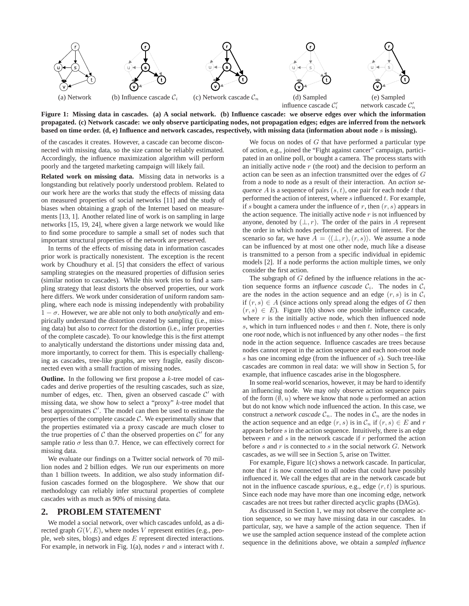

**Figure 1: Missing data in cascades. (a) A social network. (b) Influence cascade: we observe edges over which the information propagated. (c) Network cascade: we only observe participating nodes, not propagation edges; edges are inferred from the network based on time order. (d, e) Influence and network cascades, respectively, with missing data (information about node** s **is missing).**

of the cascades it creates. However, a cascade can become disconnected with missing data, so the size cannot be reliably estimated. Accordingly, the influence maximization algorithm will perform poorly and the targeted marketing campaign will likely fail.

**Related work on missing data.** Missing data in networks is a longstanding but relatively poorly understood problem. Related to our work here are the works that study the effects of missing data on measured properties of social networks [11] and the study of biases when obtaining a graph of the Internet based on measurements [13, 1]. Another related line of work is on sampling in large networks [15, 19, 24], where given a large network we would like to find some procedure to sample a small set of nodes such that important structural properties of the network are preserved.

In terms of the effects of missing data in information cascades prior work is practically nonexistent. The exception is the recent work by Choudhury et al. [5] that considers the effect of various sampling strategies on the measured properties of diffusion series (similar notion to cascades). While this work tries to find a sampling strategy that least distorts the observed properties, our work here differs. We work under consideration of uniform random sampling, where each node is missing independently with probability  $1 - \sigma$ . However, we are able not only to both *analytically* and empirically understand the distortion created by sampling (i.e., missing data) but also to *correct* for the distortion (i.e., infer properties of the complete cascade). To our knowledge this is the first attempt to analytically understand the distortions under missing data and, more importantly, to correct for them. This is especially challenging as cascades, tree-like graphs, are very fragile, easily disconnected even with a small fraction of missing nodes.

**Outline.** In the following we first propose a k-tree model of cascades and derive properties of the resulting cascades, such as size, number of edges, etc. Then, given an observed cascade  $\mathcal{C}'$  with missing data, we show how to select a "proxy" k-tree model that best approximates  $C'$ . The model can then be used to estimate the properties of the complete cascade  $C$ . We experimentally show that the properties estimated via a proxy cascade are much closer to the true properties of  $C$  than the observed properties on  $C'$  for any sample ratio  $\sigma$  less than 0.7. Hence, we can effectively correct for missing data.

We evaluate our findings on a Twitter social network of 70 million nodes and 2 billion edges. We run our experiments on more than 1 billion tweets. In addition, we also study information diffusion cascades formed on the blogosphere. We show that our methodology can reliably infer structural properties of complete cascades with as much as 90% of missing data.

# **2. PROBLEM STATEMENT**

We model a social network, over which cascades unfold, as a directed graph  $G(V, E)$ , where nodes V represent entities (e.g., people, web sites, blogs) and edges E represent directed interactions. For example, in network in Fig. 1(a), nodes  $r$  and  $s$  interact with  $t$ .

We focus on nodes of  $G$  that have performed a particular type of action, e.g., joined the "Fight against cancer" campaign, participated in an online poll, or bought a camera. The process starts with an initially active node  $r$  (the root) and the decision to perform an action can be seen as an infection transmitted over the edges of G from a node to node as a result of their interaction. An *action sequence* A is a sequence of pairs  $(s, t)$ , one pair for each node t that performed the action of interest, where  $s$  influenced  $t$ . For example, if s bought a camera under the influence of r, then  $(r, s)$  appears in the action sequence. The initially active node  $r$  is not influenced by anyone, denoted by  $(\perp, r)$ . The order of the pairs in A represent the order in which nodes performed the action of interest. For the scenario so far, we have  $A = \langle (\perp, r), (r, s) \rangle$ . We assume a node can be influenced by at most one other node, much like a disease is transmitted to a person from a specific individual in epidemic models [2]. If a node performs the action multiple times, we only consider the first action.

The subgraph of  $G$  defined by the influence relations in the action sequence forms an *influence cascade*  $C_i$ . The nodes in  $C_i$ are the nodes in the action sequence and an edge  $(r, s)$  is in  $\mathcal{C}_i$ if  $(r, s) \in A$  (since actions only spread along the edges of G then  $(r, s) \in E$ ). Figure 1(b) shows one possible influence cascade, where  $r$  is the initially active node, which then influenced node s, which in turn influenced nodes  $v$  and then  $t$ . Note, there is only one *root* node, which is not influenced by any other nodes – the first node in the action sequence. Influence cascades are trees because nodes cannot repeat in the action sequence and each non-root node  $s$  has one incoming edge (from the influencer of  $s$ ). Such tree-like cascades are common in real data: we will show in Section 5, for example, that influence cascades arise in the blogosphere.

In some real-world scenarios, however, it may be hard to identify an influencing node. We may only observe action sequence pairs of the form  $(\emptyset, u)$  where we know that node u performed an action but do not know which node influenced the action. In this case, we construct a *network cascade*  $C_n$ . The nodes in  $C_n$  are the nodes in the action sequence and an edge  $(r, s)$  is in  $\mathcal{C}_n$  if  $(r, s) \in E$  and r appears before s in the action sequence. Intuitively, there is an edge between  $r$  and  $s$  in the network cascade if  $r$  performed the action before s and  $r$  is connected to  $s$  in the social network  $G$ . Network cascades, as we will see in Section 5, arise on Twitter.

For example, Figure 1(c) shows a network cascade. In particular, note that  $t$  is now connected to all nodes that could have possibly influenced it. We call the edges that are in the network cascade but not in the influence cascade *spurious*, e.g., edge  $(r, t)$  is spurious. Since each node may have more than one incoming edge, network cascades are not trees but rather directed acyclic graphs (DAGs).

As discussed in Section 1, we may not observe the complete action sequence, so we may have missing data in our cascades. In particular, say, we have a sample of the action sequence. Then if we use the sampled action sequence instead of the complete action sequence in the definitions above, we obtain a *sampled influence*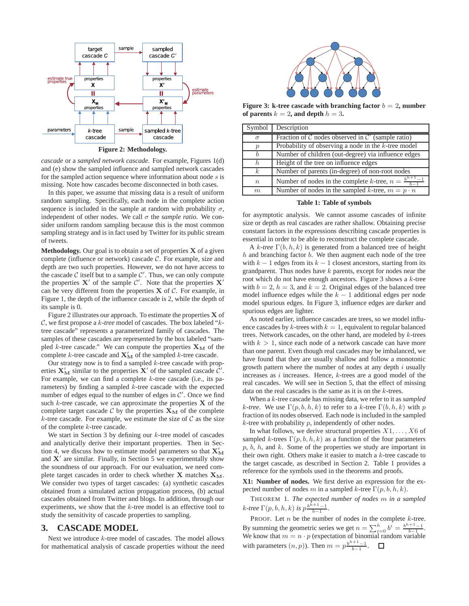

**Figure 2: Methodology.**

*cascade* or a *sampled network cascade*. For example, Figures 1(d) and (e) show the sampled influence and sampled network cascades for the sampled action sequence where information about node  $s$  is missing. Note how cascades become disconnected in both cases.

In this paper, we assume that missing data is a result of uniform random sampling. Specifically, each node in the complete action sequence is included in the sample at random with probability  $\sigma$ , independent of other nodes. We call  $\sigma$  the *sample ratio*. We consider uniform random sampling because this is the most common sampling strategy and is in fact used by Twitter for its public stream of tweets.

**Methodology.** Our goal is to obtain a set of properties X of a given complete (influence or network) cascade  $C$ . For example, size and depth are two such properties. However, we do not have access to the cascade  $C$  itself but to a sample  $C'$ . Thus, we can only compute the properties  $X'$  of the sample  $C'$ . Note that the properties  $X'$ can be very different from the properties  $X$  of  $C$ . For example, in Figure 1, the depth of the influence cascade is 2, while the depth of its sample is 0.

Figure 2 illustrates our approach. To estimate the properties  $X$  of C, we first propose a k*-tree* model of cascades. The box labeled "ktree cascade" represents a parameterized family of cascades. The samples of these cascades are represented by the box labeled "sampled k-tree cascade." We can compute the properties  $X_M$  of the complete k-tree cascade and  $X'_{M}$  of the sampled k-tree cascade.

Our strategy now is to find a sampled  $k$ -tree cascade with properties  $X'_{M}$  similar to the properties  $X'$  of the sampled cascade  $C'$ . For example, we can find a complete  $k$ -tree cascade (i.e., its parameters) by finding a sampled  $k$ -tree cascade with the expected number of edges equal to the number of edges in  $\mathcal{C}'$ . Once we find such  $k$ -tree cascade, we can approximate the properties  $X$  of the complete target cascade  $\mathcal C$  by the properties  $\mathbf X_{\mathbf M}$  of the complete  $k$ -tree cascade. For example, we estimate the size of  $C$  as the size of the complete k-tree cascade.

We start in Section 3 by defining our  $k$ -tree model of cascades and analytically derive their important properties. Then in Section 4, we discuss how to estimate model parameters so that  $X'_{M}$ and  $X'$  are similar. Finally, in Section 5 we experimentally show the soundness of our approach. For our evaluation, we need complete target cascades in order to check whether  $X$  matches  $X_M$ . We consider two types of target cascades: (a) synthetic cascades obtained from a simulated action propagation process, (b) actual cascades obtained from Twitter and blogs. In addition, through our experiments, we show that the  $k$ -tree model is an effective tool to study the sensitivity of cascade properties to sampling.

#### **3. CASCADE MODEL**

Next we introduce k-tree model of cascades. The model allows for mathematical analysis of cascade properties without the need



**Figure 3: k-tree cascade with branching factor**  $b = 2$ , number **of parents**  $k = 2$ **, and depth**  $h = 3$ **.** 

| Symbol   | Description                                            |
|----------|--------------------------------------------------------|
| $\sigma$ | Fraction of $C$ nodes observed in $C'$ (sample ratio)  |
| р        | Probability of observing a node in the $k$ -tree model |
|          | Number of children (out-degree) via influence edges    |
| h.       | Height of the tree on influence edges                  |
| k.       | Number of parents (in-degree) of non-root nodes        |
| $\eta$   | Number of nodes in the complete k-tree, $n =$          |
| m        | Number of nodes in the sampled k-tree, $m = p \cdot n$ |

#### **Table 1: Table of symbols**

for asymptotic analysis. We cannot assume cascades of infinite size or depth as real cascades are rather shallow. Obtaining precise constant factors in the expressions describing cascade properties is essential in order to be able to reconstruct the complete cascade.

A k*-tree* Γ(b, h, k) is generated from a balanced tree of height  $h$  and branching factor  $b$ . We then augment each node of the tree with  $k - 1$  edges from its  $k - 1$  closest ancestors, starting from its grandparent. Thus nodes have  $k$  parents, except for nodes near the root which do not have enough ancestors. Figure 3 shows a k-tree with  $b = 2$ ,  $h = 3$ , and  $k = 2$ . Original edges of the balanced tree model influence edges while the  $k - 1$  additional edges per node model spurious edges. In Figure 3, influence edges are darker and spurious edges are lighter.

As noted earlier, influence cascades are trees, so we model influence cascades by k-trees with  $k = 1$ , equivalent to regular balanced trees. Network cascades, on the other hand, are modeled by k-trees with  $k > 1$ , since each node of a network cascade can have more than one parent. Even though real cascades may be imbalanced, we have found that they are usually shallow and follow a monotonic growth pattern where the number of nodes at any depth  $i$  usually increases as  $i$  increases. Hence,  $k$ -trees are a good model of the real cascades. We will see in Section 5, that the effect of missing data on the real cascades is the same as it is on the k-trees.

When a k-tree cascade has missing data, we refer to it as *sampled* k-tree. We use  $\Gamma(p, b, h, k)$  to refer to a k-tree  $\Gamma(b, h, k)$  with p fraction of its nodes observed. Each node is included in the sampled  $k$ -tree with probability  $p$ , independently of other nodes.

In what follows, we derive structural properties  $X1, \ldots, X6$  of sampled k-trees  $\Gamma(p, b, h, k)$  as a function of the four parameters  $p, b, h$ , and  $k$ . Some of the properties we study are important in their own right. Others make it easier to match a  $k$ -tree cascade to the target cascade, as described in Section 2. Table 1 provides a reference for the symbols used in the theorems and proofs.

**X1: Number of nodes.** We first derive an expression for the expected number of nodes m in a sampled k-tree  $\Gamma(p, b, h, k)$ .

THEOREM 1. *The expected number of nodes* m *in a sampled*  $k$ -tree  $\Gamma(p, b, h, k)$  is  $p\frac{b^{\tilde{h}+1}-1}{b-1}$ .

PROOF. Let  $n$  be the number of nodes in the complete  $k$ -tree. By summing the geometric series we get  $n = \sum_{i=0}^{h} b^i = \frac{b^{h+1}-1}{b-1}$ . We know that  $m = n \cdot p$  (expectation of binomial random variable with parameters  $(n, p)$ ). Then  $m = p \frac{b^{h+1}-1}{b-1}$ .  $\Box$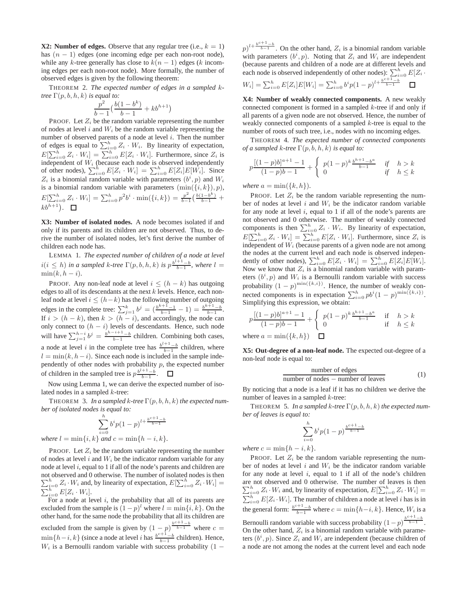**X2: Number of edges.** Observe that any regular tree (i.e.,  $k = 1$ ) has  $(n - 1)$  edges (one incoming edge per each non-root node), while any k-tree generally has close to  $k(n - 1)$  edges (k incoming edges per each non-root node). More formally, the number of observed edges is given by the following theorem:

THEOREM 2. *The expected number of edges in a sampled* k*tree*  $\Gamma(p, b, h, k)$  *is equal to:* 

$$
\frac{p^2}{b-1} \left( \frac{b(1-b^k)}{b-1} + kb^{h+1} \right)
$$

PROOF. Let  $Z_i$  be the random variable representing the number of nodes at level i and  $W_i$  be the random variable representing the number of observed parents of a node at level  $i$ . Then the number of edges is equal to  $\sum_{i=0}^{h} Z_i \cdot W_i$ . By linearity of expectation,  $E[\sum_{i=0}^{h} Z_i \cdot W_i] = \sum_{i=0}^{h} E[Z_i \cdot W_i]$ . Furthermore, since  $Z_i$  is independent of  $W_i$  (because each node is observed independently of other nodes),  $\sum_{i=0}^{h} E[Z_i \cdot W_i] = \sum_{i=0}^{h} E[Z_i] E[W_i]$ . Since  $Z_i$  is a binomial random variable with parameters  $(h^i, g)$  and  $W_i$  $Z_i$  is a binomial random variable with parameters  $(b^i, p)$  and  $W_i$ is a binomial random variable with parameters  $(\min(\{i,k\}), p)$ ,  $E[\sum_{i=0}^{h} Z_i \cdot W_i] = \sum_{i=0}^{h} p^2 b^i \cdot \min(\{i,k\}) = \frac{p^2}{b-1}$  $\frac{p^2}{b-1} \left( \frac{b(1-b^k)}{b-1} \right) +$  $kb^{h+1}$ .

**X3: Number of isolated nodes.** A node becomes isolated if and only if its parents and its children are not observed. Thus, to derive the number of isolated nodes, let's first derive the number of children each node has.

LEMMA 1. *The expected number of children of a node at level*  $i(i \leq h)$  in a sampled k-tree  $\Gamma(p, b, h, k)$  is  $p \frac{b^{l+1}-b}{b-1}$ , where  $l =$  $\min(k, h - i)$ .

PROOF. Any non-leaf node at level  $i \leq (h - k)$  has outgoing edges to all of its descendants at the next k levels. Hence, each nonleaf node at level  $i \leq (h-k)$  has the following number of outgoing edges in the complete tree:  $\sum_{j=1}^{k} b^j = \left(\frac{b^{k+1}-1}{b-1} - 1\right) = \frac{b^{k+1}-b}{b-1}$ . If  $i > (h - k)$ , then  $k > (h - i)$ , and accordingly, the node can only connect to  $(h - i)$  levels of descendants. Hence, such node will have  $\sum_{j=1}^{h-i} b^j = \frac{b^{h-i+1}-b}{b-1}$  children. Combining both cases, a node at level i in the complete tree has  $\frac{b^{l+1}-b}{b-1}$  children, where  $l = min(k, h - i)$ . Since each node is included in the sample independently of other nodes with probability  $p$ , the expected number of children in the sampled tree is  $p \frac{b^{l+1}-b}{b-1}$ .

Now using Lemma 1, we can derive the expected number of isolated nodes in a sampled  $k$ -tree:

THEOREM 3. In a sampled k-tree  $\Gamma(p, b, h, k)$  the expected num*ber of isolated nodes is equal to:*

$$
\sum_{i=0}^{h} b^{i} p (1-p)^{l+\frac{b^{c+1}-b}{b-1}}
$$

*where*  $l = \min\{i, k\}$  *and*  $c = \min\{h - i, k\}$ .

PROOF. Let  $Z_i$  be the random variable representing the number of nodes at level i and  $W_i$  be the indicator random variable for any node at level  $i$ , equal to 1 if all of the node's parents and children are not observed and 0 otherwise. The number of isolated nodes is then  $\sum_{i=0}^{h} Z_i \cdot W_i$  and, by linearity of expectation,  $E[\sum_{i=0}^{h} Z_i \cdot W_i] =$  $\sum_{i=0}^{h} E[Z_i \cdot W_i].$ 

For a node at level  $i$ , the probability that all of its parents are excluded from the sample is  $(1-p)^l$  where  $l = \min\{i, k\}$ . On the other hand, for the same node the probability that all its children are excluded from the sample is given by  $(1-p)^{\frac{b^{c+1}-b}{b-1}}$  where  $c=$  $\min\{h-i, k\}$  (since a node at level *i* has  $\frac{b^{c+1}-b}{b-1}$  children). Hence,  $W_i$  is a Bernoulli random variable with success probability (1 –

 $p)^{l+\frac{b^{c+1}-b}{b-1}}$ . On the other hand,  $Z_i$  is a binomial random variable with parameters  $(b^i, p)$ . Noting that  $Z_i$  and  $W_i$  are independent (because parents and children of a node are at different levels and each node is observed independently of other nodes):  $\sum_{i=0}^{h} E[Z_i \cdot$ 

$$
W_i] = \sum_{i=0}^{h} E[Z_i] E[W_i] = \sum_{i=0}^{h} b^i p (1-p)^{l + \frac{b^{c+1}-b^{c-1}}{b-1}} \square
$$

**X4: Number of weakly connected components.** A new weakly connected component is formed in a sampled  $k$ -tree if and only if all parents of a given node are not observed. Hence, the number of weakly connected components of a sampled  $k$ -tree is equal to the number of roots of such tree, i.e., nodes with no incoming edges.

THEOREM 4. *The expected number of connected components of a sampled* k*-tree* Γ(p, b, h, k) *is equal to:*

$$
p\frac{[(1-p)b]^{a+1}-1}{(1-p)b-1} + \begin{cases} p(1-p)^k \frac{b^{h+1}-b^a}{b-1} & \text{if } h > k\\ 0 & \text{if } h \le k \end{cases}
$$

*where*  $a = \min(\{k, h\})$ *.* 

PROOF. Let  $Z_i$  be the random variable representing the number of nodes at level  $i$  and  $W_i$  be the indicator random variable for any node at level  $i$ , equal to 1 if all of the node's parents are not observed and 0 otherwise. The number of weakly connected components is then  $\sum_{i=0}^{h} Z_i \cdot W_i$ . By linearity of expectation,  $E[\sum_{i=0}^{h} Z_i \cdot W_i] = \sum_{i=0}^{h} E[Z_i \cdot W_i]$ . Furthermore, since  $Z_i$  is independent of  $W_i$  (because parents of a given node are not among the nodes at the current level and each node is observed independently of other nodes),  $\sum_{i=0}^{h} E[Z_i \cdot W_i] = \sum_{i=0}^{h} E[Z_i] E[W_i]$ . Now we know that  $Z_i$  is a binomial random variable with parameters  $(b^i, p)$  and  $W_i$  is a Bernoulli random variable with success probability  $(1-p)^{\min(\{k,i\})}$ . Hence, the number of weakly connected components is in expectation  $\sum_{i=0}^{h} pb^{i} (1-p)^{\min(\lbrace k,i \rbrace)}$ . Simplifying this expression, we obtain:

$$
p\frac{[(1-p)b]^{a+1}-1}{(1-p)b-1} + \begin{cases} p(1-p)^k \frac{b^{h+1}-b^a}{b-1} & \text{if } h > k\\ 0 & \text{if } h \le k \end{cases}
$$

where  $a = \min(\{k, h\})$  $\Box$ 

**X5: Out-degree of a non-leaf node.** The expected out-degree of a non-leaf node is equal to:

$$
\frac{\text{number of edges}}{\text{number of nodes} - \text{number of leaves}}\tag{1}
$$

By noticing that a node is a leaf if it has no children we derive the number of leaves in a sampled  $k$ -tree:

THEOREM 5. In a sampled k-tree  $\Gamma(p, b, h, k)$  the expected num*ber of leaves is equal to:*

$$
\sum_{i=0}^{h} b^i p(1-p)^{\frac{b^{c+1}-b}{b-1}}
$$

*where*  $c = \min\{h - i, k\}$ .

PROOF. Let  $Z_i$  be the random variable representing the number of nodes at level  $i$  and  $W_i$  be the indicator random variable for any node at level  $i$ , equal to 1 if all of the node's children are not observed and 0 otherwise. The number of leaves is then  $\sum_{i=0}^{h} Z_i \cdot W_i$  and, by linearity of expectation,  $E[\sum_{i=0}^{h} Z_i \cdot W_i] =$  $\sum_{i=0}^{h} E[Z_i \cdot W_i]$ . The number of children a node at level *i* has is in the general form:  $\frac{b^{c+1}-b}{b-1}$  where  $c = \min\{h-i, k\}$ . Hence,  $W_i$  is a Bernoulli random variable with success probability  $(1-p)^{\frac{b^{c+1}-b}{b-1}}$ . On the other hand,  $Z_i$  is a binomial random variable with parameters  $(b^i, p)$ . Since  $Z_i$  and  $W_i$  are independent (because children of a node are not among the nodes at the current level and each node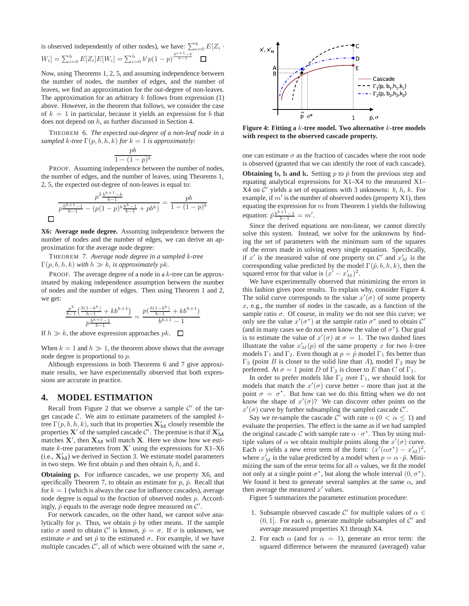is observed independently of other nodes), we have: 
$$
\sum_{i=0}^{h} E[Z_i \cdot W_i] = \sum_{i=0}^{h} E[Z_i] E[W_i] = \sum_{i=0}^{h} b^i p(1-p)^{\frac{b^{c+1}-b}{b-1}} \Box
$$

Now, using Theorems 1, 2, 5, and assuming independence between the number of nodes, the number of edges, and the number of leaves, we find an approximation for the out-degree of non-leaves. The approximation for an arbitrary  $k$  follows from expression  $(1)$ above. However, in the theorem that follows, we consider the case of  $k = 1$  in particular, because it yields an expression for b that does not depend on h, as further discussed in Section 4.

THEOREM 6. *The expected out-degree of a non-leaf node in a sampled* k-tree  $\Gamma(p, b, h, k)$  *for*  $k = 1$  *is approximately:* 

$$
\frac{pb}{1 - (1 - p)^b}
$$

PROOF. Assuming independence between the number of nodes, the number of edges, and the number of leaves, using Theorems 1, 2, 5, the expected out-degree of non-leaves is equal to:

$$
\frac{p^2 \frac{b^{h+1}-b}{b-1}}{p \frac{b^{h+1}-1}{b-1} - (p(1-p)^b \frac{b^h-1}{b-1} + pb^h)} = \frac{pb}{1 - (1-p)^b}
$$

**X6: Average node degree.** Assuming independence between the number of nodes and the number of edges, we can derive an approximation for the average node degree:

THEOREM 7. *Average node degree in a sampled* k*-tree*  $\Gamma(p, b, h, k)$  *with*  $h \gg k$ *, is approximately pk.* 

PROOF. The average degree of a node in a k-tree can be approximated by making independence assumption between the number of nodes and the number of edges. Then using Theorem 1 and 2, we get:

$$
\frac{\frac{p^2}{b-1}\left(\frac{b(1-b^k)}{b-1}+kb^{h+1}\right)}{p\frac{b^{h+1}-1}{b-1}}=\frac{p\left(\frac{b(1-b^k)}{b-1}+kb^{h+1}\right)}{b^{h+1}-1}
$$

If  $h \gg k$ , the above expression approaches  $pk$ .  $\Box$ 

When  $k = 1$  and  $h \gg 1$ , the theorem above shows that the average node degree is proportional to p.

Although expressions in both Theorems 6 and 7 give approximate results, we have experimentally observed that both expressions are accurate in practice.

#### **4. MODEL ESTIMATION**

Recall from Figure 2 that we observe a sample  $\mathcal{C}'$  of the target cascade  $C$ . We aim to estimate parameters of the sampled  $k$ tree  $\Gamma(p, b, h, k)$ , such that its properties  $\mathbf{X}'_{\mathbf{M}}$  closely resemble the properties  $X'$  of the sampled cascade  $\mathcal{C}'$ . The premise is that if  $X'_{M}$ matches  $X'$ , then  $X_M$  will match X. Here we show how we estimate k-tree parameters from  $X'$  using the expressions for X1-X6 (i.e.,  $X'_M$ ) we derived in Section 3. We estimate model parameters in two steps. We first obtain  $p$  and then obtain  $b, h$ , and  $k$ .

**Obtaining** p**.** For influence cascades, we use property X6, and specifically Theorem 7, to obtain an estimate for  $p$ ,  $\hat{p}$ . Recall that for  $k = 1$  (which is always the case for influence cascades), average node degree is equal to the fraction of observed nodes p. Accordingly,  $\hat{p}$  equals to the average node degree measured on  $\mathcal{C}'$ .

For network cascades, on the other hand, we cannot solve analytically for p. Thus, we obtain  $\hat{p}$  by other means. If the sample ratio  $\sigma$  used to obtain C' is known,  $\hat{p} = \sigma$ . If  $\sigma$  is unknown, we estimate  $\sigma$  and set  $\hat{p}$  to the estimated  $\sigma$ . For example, if we have multiple cascades  $\mathcal{C}'$ , all of which were obtained with the same  $\sigma$ ,



**Figure 4: Fitting a** k**-tree model. Two alternative** k**-tree models with respect to the observed cascade property.**

one can estimate  $\sigma$  as the fraction of cascades where the root node is observed (granted that we can identify the root of each cascade).

**Obtaining** b, h and k. Setting p to  $\hat{p}$  from the previous step and equating analytical expressions for X1–X4 to the measured X1–  $X4$  on  $C'$  yields a set of equations with 3 unknowns: b, h, k. For example, if  $m'$  is the number of observed nodes (property X1), then equating the expression for  $m$  from Theorem 1 yields the following equation:  $\hat{p}^{\frac{b^{h+1}-1}{b-1}} = m'$ .

Since the derived equations are non-linear, we cannot directly solve this system. Instead, we solve for the unknowns by finding the set of parameters with the minimum sum of the squares of the errors made in solving every single equation. Specifically, if x' is the measured value of one property on  $\mathcal{C}'$  and  $x'_M$  is the corresponding value predicted by the model  $\Gamma(\hat{p}, b, h, k)$ , then the squared error for that value is  $(x'-x'_M)^2$ .

We have experimentally observed that minimizing the errors in this fashion gives poor results. To explain why, consider Figure 4. The solid curve corresponds to the value  $x'(\sigma)$  of some property  $x$ , e.g., the number of nodes in the cascade, as a function of the sample ratio  $\sigma$ . Of course, in reality we do not see this curve; we only see the value  $x'(\sigma^*)$  at the sample ratio  $\sigma^*$  used to obtain  $\mathcal{C}'$ (and in many cases we do not even know the value of  $\sigma^*$ ). Our goal is to estimate the value of  $x'(\sigma)$  at  $\sigma = 1$ . The two dashed lines illustrate the value  $x'_M(p)$  of the same property x for two k-tree models  $\Gamma_1$  and  $\Gamma_2$ . Even though at  $p = \hat{p}$  model  $\Gamma_1$  fits better than  $Γ<sub>2</sub>$  (point *B* is closer to the solid line than *A*), model  $Γ<sub>2</sub>$  may be preferred. At  $\sigma = 1$  point D of  $\Gamma_2$  is closer to E than C of  $\Gamma_1$ .

In order to prefer models like  $\Gamma_2$  over  $\Gamma_1$ , we should look for models that match the  $x'(\sigma)$  curve better – more than just at the point  $\sigma = \sigma^*$ . But how can we do this fitting when we do not know the shape of  $x'(\sigma)$ ? We can discover other points on the  $x'(\sigma)$  curve by further subsampling the sampled cascade  $\mathcal{C}'$ .

Say we re-sample the cascade C' with rate  $\alpha$  ( $0 < \alpha \le 1$ ) and evaluate the properties. The effect is the same as if we had sampled the original cascade C with sample rate  $\alpha \cdot \sigma^*$ . Thus by using multiple values of  $\alpha$  we obtain multiple points along the  $x'(\sigma)$  curve. Each  $\alpha$  yields a new error term of the form:  $(x'(\alpha \sigma^*) - x'_M)^2$ , where  $x'_M$  is the value predicted by a model when  $p = \alpha \cdot \hat{p}$ . Minimizing the sum of the error terms for all  $\alpha$  values, we fit the model not only at a single point  $\sigma^*$ , but along the whole interval  $(0, \sigma^*)$ . We found it best to generate several samples at the same  $\alpha$ , and then average the measured  $x'$  values.

Figure 5 summarizes the parameter estimation procedure:

- 1. Subsample observed cascade  $\mathcal{C}'$  for multiple values of  $\alpha \in$ (0, 1]. For each  $\alpha$ , generate multiple subsamples of  $\mathcal{C}'$  and average measured properties X1 through X4.
- 2. For each  $\alpha$  (and for  $\alpha = 1$ ), generate an error term: the squared difference between the measured (averaged) value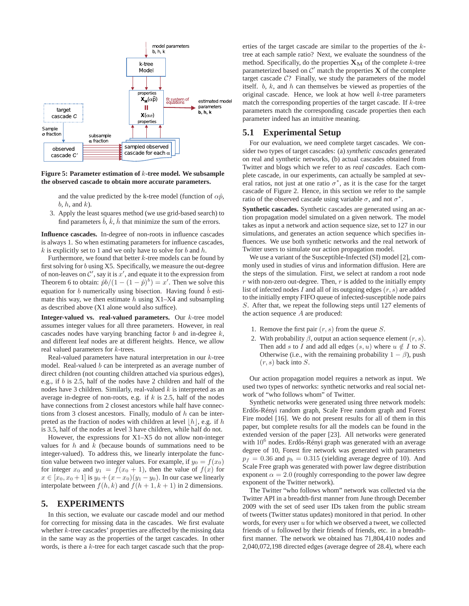

**Figure 5: Parameter estimation of** k**-tree model. We subsample the observed cascade to obtain more accurate parameters.**

and the value predicted by the k-tree model (function of  $\alpha \hat{p}$ ,  $h, h,$  and  $k$ ).

3. Apply the least squares method (we use grid-based search) to find parameters  $\hat{b}$ ,  $\hat{k}$ ,  $\hat{h}$  that minimize the sum of the errors.

**Influence cascades.** In-degree of non-roots in influence cascades is always 1. So when estimating parameters for influence cascades,  $k$  is explicitly set to 1 and we only have to solve for b and  $h$ .

Furthermore, we found that better  $k$ -tree models can be found by first solving for b using X5. Specifically, we measure the out-degree of non-leaves on  $\mathcal{C}'$ , say it is  $x'$ , and equate it to the expression from Theorem 6 to obtain:  $\hat{p}b/(1-(1-\hat{p})^b) = x'$ . Then we solve this equation for b numerically using bisection. Having found  $\hat{b}$  estimate this way, we then estimate  $h$  using X1–X4 and subsampling as described above (X1 alone would also suffice).

**Integer-valued vs. real-valued parameters.** Our k-tree model assumes integer values for all three parameters. However, in real cascades nodes have varying branching factor  $b$  and in-degree  $k$ , and different leaf nodes are at different heights. Hence, we allow real valued parameters for k-trees.

Real-valued parameters have natural interpretation in our k-tree model. Real-valued *b* can be interpreted as an average number of direct children (not counting children attached via spurious edges), e.g., if b is 2.5, half of the nodes have 2 children and half of the nodes have 3 children. Similarly, real-valued  $k$  is interpreted as an average in-degree of non-roots, e.g. if  $k$  is 2.5, half of the nodes have connections from 2 closest ancestors while half have connections from 3 closest ancestors. Finally, modulo of  $h$  can be interpreted as the fraction of nodes with children at level  $|h|$ , e.g. if h is 3.5, half of the nodes at level 3 have children, while half do not.

However, the expressions for X1–X5 do not allow non-integer values for  $h$  and  $k$  (because bounds of summations need to be integer-valued). To address this, we linearly interpolate the function value between two integer values. For example, if  $y_0 = f(x_0)$ for integer  $x_0$  and  $y_1 = f(x_0 + 1)$ , then the value of  $f(x)$  for  $x \in [x_0, x_0 + 1]$  is  $y_0 + (x - x_0)(y_1 - y_0)$ . In our case we linearly interpolate between  $f(h, k)$  and  $f(h + 1, k + 1)$  in 2 dimensions.

#### **5. EXPERIMENTS**

In this section, we evaluate our cascade model and our method for correcting for missing data in the cascades. We first evaluate whether  $k$ -tree cascades' properties are affected by the missing data in the same way as the properties of the target cascades. In other words, is there a  $k$ -tree for each target cascade such that the properties of the target cascade are similar to the properties of the ktree at each sample ratio? Next, we evaluate the soundness of the method. Specifically, do the properties  $X_M$  of the complete k-tree parameterized based on  $\mathcal{C}'$  match the properties  $\mathbf X$  of the complete target cascade  $C$ ? Finally, we study the parameters of the model itself. b, k, and h can themselves be viewed as properties of the original cascade. Hence, we look at how well  $k$ -tree parameters match the corresponding properties of the target cascade. If  $k$ -tree parameters match the corresponding cascade properties then each parameter indeed has an intuitive meaning.

#### **5.1 Experimental Setup**

For our evaluation, we need complete target cascades. We consider two types of target cascades: (a) *synthetic cascades* generated on real and synthetic networks, (b) actual cascades obtained from Twitter and blogs which we refer to as *real cascades*. Each complete cascade, in our experiments, can actually be sampled at several ratios, not just at one ratio  $\sigma^*$ , as it is the case for the target cascade of Figure 2. Hence, in this section we refer to the sample ratio of the observed cascade using variable  $\sigma$ , and not  $\sigma^*$ .

**Synthetic cascades.** Synthetic cascades are generated using an action propagation model simulated on a given network. The model takes as input a network and action sequence size, set to 127 in our simulations, and generates an action sequence which specifies influences. We use both synthetic networks and the real network of Twitter users to simulate our action propagation model.

We use a variant of the Susceptible-Infected (SI) model [2], commonly used in studies of virus and information diffusion. Here are the steps of the simulation. First, we select at random a root node  $r$  with non-zero out-degree. Then,  $r$  is added to the initially empty list of infected nodes I and all of its outgoing edges  $(r, s)$  are added to the initially empty FIFO queue of infected-susceptible node pairs S. After that, we repeat the following steps until 127 elements of the action sequence  $A$  are produced:

- 1. Remove the first pair  $(r, s)$  from the queue S.
- 2. With probability  $\beta$ , output an action sequence element  $(r, s)$ . Then add s to I and add all edges  $(s, u)$  where  $u \notin I$  to S. Otherwise (i.e., with the remaining probability  $1 - \beta$ ), push  $(r, s)$  back into S.

Our action propagation model requires a network as input. We used two types of networks: synthetic networks and real social network of "who follows whom" of Twitter.

Synthetic networks were generated using three network models: Erdős-Rényi random graph, Scale Free random graph and Forest Fire model [16]. We do not present results for all of them in this paper, but complete results for all the models can be found in the extended version of the paper [23]. All networks were generated with  $10^6$  nodes. Erdős-Rényi graph was generated with an average degree of 10, Forest fire network was generated with parameters  $p_f = 0.36$  and  $p_b = 0.315$  (yielding average degree of 10). And Scale Free graph was generated with power law degree distribution exponent  $\alpha = 2.0$  (roughly corresponding to the power law degree exponent of the Twitter network).

The Twitter "who follows whom" network was collected via the Twitter API in a breadth-first manner from June through December 2009 with the set of seed user IDs taken from the public stream of tweets (Twitter status updates) monitored in that period. In other words, for every user u for which we observed a tweet, we collected friends of  $u$  followed by their friends of friends, etc. in a breadthfirst manner. The network we obtained has 71,804,410 nodes and 2,040,072,198 directed edges (average degree of 28.4), where each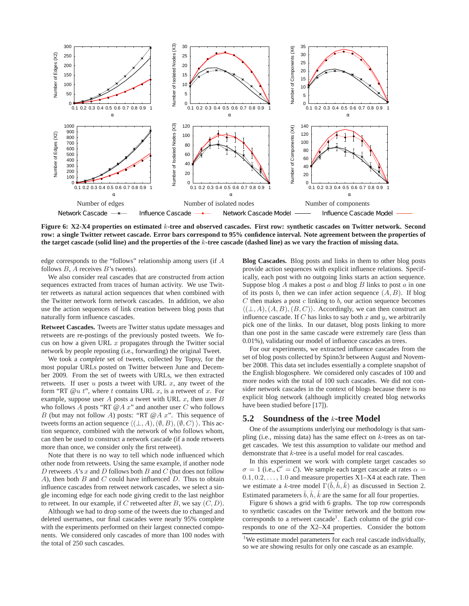

**Figure 6: X2-X4 properties on estimated** k**-tree and observed cascades. First row: synthetic cascades on Twitter network. Second row: a single Twitter retweet cascade. Error bars correspond to 95% confidence interval. Note agreement between the properties of the target cascade (solid line) and the properties of the** k**-tree cascade (dashed line) as we vary the fraction of missing data.**

edge corresponds to the "follows" relationship among users (if A follows  $B$ ,  $A$  receives  $B$ 's tweets).

We also consider real cascades that are constructed from action sequences extracted from traces of human activity. We use Twitter retweets as natural action sequences that when combined with the Twitter network form network cascades. In addition, we also use the action sequences of link creation between blog posts that naturally form influence cascades.

**Retweet Cascades.** Tweets are Twitter status update messages and retweets are re-postings of the previously posted tweets. We focus on how a given URL  $x$  propagates through the Twitter social network by people reposting (i.e., forwarding) the original Tweet.

We took a *complete* set of tweets, collected by Topsy, for the most popular URLs posted on Twitter between June and December 2009. From the set of tweets with URLs, we then extracted retweets. If user  $u$  posts a tweet with URL  $x$ , any tweet of the form "RT  $@u t$ ", where t contains URL x, is a retweet of x. For example, suppose user  $A$  posts a tweet with URL  $x$ , then user  $B$ who follows A posts "RT  $@A x$ " and another user C who follows  $B$  (but may not follow  $A$ ) posts: "RT  $@A x$ ". This sequence of tweets forms an action sequence  $\langle (⊥, A), (Ø, B), (Ø, C) \rangle$ . This action sequence, combined with the network of who follows whom, can then be used to construct a network cascade (if a node retweets more than once, we consider only the first retweet).

Note that there is no way to tell which node influenced which other node from retweets. Using the same example, if another node D retweets  $A$ 's  $x$  and  $D$  follows both  $B$  and  $C$  (but does not follow A), then both  $B$  and  $C$  could have influenced  $D$ . Thus to obtain influence cascades from retweet network cascades, we select a single incoming edge for each node giving credit to the last neighbor to retweet. In our example, if C retweeted after B, we say  $(C, D)$ .

Although we had to drop some of the tweets due to changed and deleted usernames, our final cascades were nearly 95% complete with the experiments performed on their largest connected components. We considered only cascades of more than 100 nodes with the total of 250 such cascades.

**Blog Cascades.** Blog posts and links in them to other blog posts provide action sequences with explicit influence relations. Specifically, each post with no outgoing links starts an action sequence. Suppose blog  $A$  makes a post  $a$  and blog  $B$  links to post  $a$  in one of its posts b, then we can infer action sequence  $(A, B)$ . If blog  $C$  then makes a post  $c$  linking to  $b$ , our action sequence becomes  $\langle (\perp, A), (A, B), (B, C) \rangle$ . Accordingly, we can then construct an influence cascade. If C has links to say both x and  $y$ , we arbitrarily pick one of the links. In our dataset, blog posts linking to more than one post in the same cascade were extremely rare (less than 0.01%), validating our model of influence cascades as trees.

For our experiments, we extracted influence cascades from the set of blog posts collected by Spinn3r between August and November 2008. This data set includes essentially a complete snapshot of the English blogosphere. We considered only cascades of 100 and more nodes with the total of 100 such cascades. We did not consider network cascades in the context of blogs because there is no explicit blog network (although implicitly created blog networks have been studied before [17]).

#### **5.2 Soundness of the** k**-tree Model**

One of the assumptions underlying our methodology is that sampling (i.e., missing data) has the same effect on  $k$ -trees as on target cascades. We test this assumption to validate our method and demonstrate that k-tree is a useful model for real cascades.

In this experiment we work with complete target cascades so  $\sigma = 1$  (i.e.,  $C' = C$ ). We sample each target cascade at rates  $\alpha =$  $0.1, 0.2, \ldots, 1.0$  and measure properties X1–X4 at each rate. Then we estimate a k-tree model  $\Gamma(\hat{b}, \hat{h}, \hat{k})$  as discussed in Section 2. Estimated parameters  $\hat{b}$ ,  $\hat{h}$ ,  $\hat{k}$  are the same for all four properties.

Figure 6 shows a grid with 6 graphs. The top row corresponds to synthetic cascades on the Twitter network and the bottom row corresponds to a retweet cascade<sup>1</sup>. Each column of the grid corresponds to one of the X2–X4 properties. Consider the bottom

<sup>&</sup>lt;sup>1</sup>We estimate model parameters for each real cascade individually, so we are showing results for only one cascade as an example.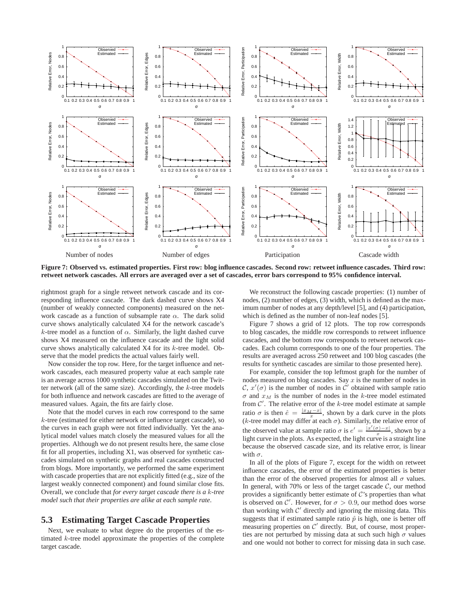

**Figure 7: Observed vs. estimated properties. First row: blog influence cascades. Second row: retweet influence cascades. Third row: retweet network cascades. All errors are averaged over a set of cascades, error bars correspond to 95% confidence interval.**

rightmost graph for a single retweet network cascade and its corresponding influence cascade. The dark dashed curve shows X4 (number of weakly connected components) measured on the network cascade as a function of subsample rate  $\alpha$ . The dark solid curve shows analytically calculated X4 for the network cascade's k-tree model as a function of  $\alpha$ . Similarly, the light dashed curve shows X4 measured on the influence cascade and the light solid curve shows analytically calculated X4 for its k-tree model. Observe that the model predicts the actual values fairly well.

Now consider the top row. Here, for the target influence and network cascades, each measured property value at each sample rate is an average across 1000 synthetic cascades simulated on the Twitter network (all of the same size). Accordingly, the  $k$ -tree models for both influence and network cascades are fitted to the average of measured values. Again, the fits are fairly close.

Note that the model curves in each row correspond to the same k-tree (estimated for either network or influence target cascade), so the curves in each graph were not fitted individually. Yet the analytical model values match closely the measured values for all the properties. Although we do not present results here, the same close fit for all properties, including X1, was observed for synthetic cascades simulated on synthetic graphs and real cascades constructed from blogs. More importantly, we performed the same experiment with cascade properties that are not explicitly fitted (e.g., size of the largest weakly connected component) and found similar close fits. Overall, we conclude that *for every target cascade there is a* k*-tree model such that their properties are alike at each sample rate*.

# **5.3 Estimating Target Cascade Properties**

Next, we evaluate to what degree do the properties of the estimated k-tree model approximate the properties of the complete target cascade.

We reconstruct the following cascade properties: (1) number of nodes, (2) number of edges, (3) width, which is defined as the maximum number of nodes at any depth/level [5], and (4) participation, which is defined as the number of non-leaf nodes [5].

Figure 7 shows a grid of 12 plots. The top row corresponds to blog cascades, the middle row corresponds to retweet influence cascades, and the bottom row corresponds to retweet network cascades. Each column corresponds to one of the four properties. The results are averaged across 250 retweet and 100 blog cascades (the results for synthetic cascades are similar to those presented here).

For example, consider the top leftmost graph for the number of nodes measured on blog cascades. Say  $x$  is the number of nodes in  $\mathcal{C}, x'(\sigma)$  is the number of nodes in  $\mathcal{C}'$  obtained with sample ratio  $\sigma$  and  $x_M$  is the number of nodes in the k-tree model estimated from  $C'$ . The relative error of the  $k$ -tree model estimate at sample ratio  $\sigma$  is then  $\hat{e} = \frac{|x_M - x|}{x}$ , shown by a dark curve in the plots (k-tree model may differ at each  $\sigma$ ). Similarly, the relative error of the observed value at sample ratio  $\sigma$  is  $e' = \frac{|x'(\sigma) - x|}{r}$ , shown by a light curve in the plots. As expected, the light curve is a straight line because the observed cascade size, and its relative error, is linear with  $\sigma$ .

In all of the plots of Figure 7, except for the width on retweet influence cascades, the error of the estimated properties is better than the error of the observed properties for almost all  $\sigma$  values. In general, with 70% or less of the target cascade  $C$ , our method provides a significantly better estimate of  $\mathcal{C}$ 's properties than what is observed on  $\mathcal{C}'$ . However, for  $\sigma > 0.9$ , our method does worse than working with  $\mathcal{C}'$  directly and ignoring the missing data. This suggests that if estimated sample ratio  $\hat{p}$  is high, one is better off measuring properties on  $C'$  directly. But, of course, most properties are not perturbed by missing data at such such high  $\sigma$  values and one would not bother to correct for missing data in such case.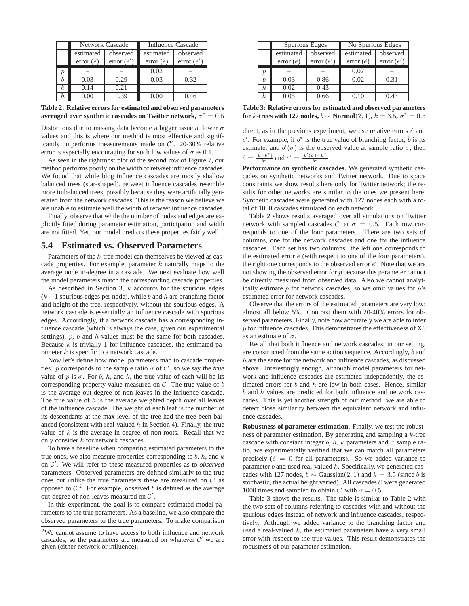|    | <b>Network Cascade</b>         |                          | <b>Influence Cascade</b>       |                          |
|----|--------------------------------|--------------------------|--------------------------------|--------------------------|
|    | estimated<br>error $(\hat{e})$ | observed<br>error $(e')$ | estimated<br>error $(\hat{e})$ | observed<br>error $(e')$ |
|    |                                |                          | 0.02                           |                          |
|    | 0.03                           | 0.29                     | 0.03                           | 0.32                     |
| k. | 0.14                           | 0.21                     |                                |                          |
|    |                                | 0.39                     | $0.00\,$                       | 0.46                     |

**Table 2: Relative errors for estimated and observed parameters**  $\alpha$  averaged over synthetic cascades on Twitter network,  $\sigma^*=0.5$ 

Distortions due to missing data become a bigger issue at lower  $\sigma$ values and this is where our method is most effective and significantly outperforms measurements made on  $C'$ . 20-30% relative error is especially encouraging for such low values of  $\sigma$  as 0.1.

As seen in the rightmost plot of the second row of Figure 7, our method performs poorly on the width of retweet influence cascades. We found that while blog influence cascades are mostly shallow balanced trees (star-shaped), retweet influence cascades resemble more imbalanced trees, possibly because they were artificially generated from the network cascades. This is the reason we believe we are unable to estimate well the width of retweet influence cascades.

Finally, observe that while the number of nodes and edges are explicitly fitted during parameter estimation, participation and width are not fitted. Yet, our model predicts these properties fairly well.

# **5.4 Estimated vs. Observed Parameters**

Parameters of the k-tree model can themselves be viewed as cascade properties. For example, parameter  $k$  naturally maps to the average node in-degree in a cascade. We next evaluate how well the model parameters match the corresponding cascade properties.

As described in Section 3,  $k$  accounts for the spurious edges  $(k-1)$  spurious edges per node), while b and h are branching factor and height of the tree, respectively, without the spurious edges. A network cascade is essentially an influence cascade with spurious edges. Accordingly, if a network cascade has a corresponding influence cascade (which is always the case, given our experimental settings),  $p$ ,  $b$  and  $h$  values must be the same for both cascades. Because  $k$  is trivially 1 for influence cascades, the estimated parameter  $k$  is specific to a network cascade.

Now let's define how model parameters map to cascade properties. *p* corresponds to the sample ratio  $\sigma$  of  $C'$ , so we say the *true* value of p is  $\sigma$ . For b, h, and k, the true value of each will be its corresponding property value measured on  $C$ . The true value of  $b$ is the average out-degree of non-leaves in the influence cascade. The true value of  $h$  is the average weighted depth over all leaves of the influence cascade. The weight of each leaf is the number of its descendants at the max level of the tree had the tree been balanced (consistent with real-valued  $h$  in Section 4). Finally, the true value of  $k$  is the average in-degree of non-roots. Recall that we only consider k for network cascades.

To have a baseline when comparing estimated parameters to the true ones, we also measure properties corresponding to  $b, h$ , and  $k$ on C ′ . We will refer to these measured properties as to *observed* parameters. Observed parameters are defined similarly to the true ones but unlike the true parameters these are measured on  $\mathcal{C}'$  as opposed to  $\mathcal{C}^2$ . For example, observed b is defined as the average out-degree of non-leaves measured on  $C'$ .

In this experiment, the goal is to compare estimated model parameters to the true parameters. As a baseline, we also compare the observed parameters to the true parameters. To make comparison

| Spurious Edges                 |                       | No Spurious Edges              |                          |
|--------------------------------|-----------------------|--------------------------------|--------------------------|
| estimated<br>error $(\hat{e})$ | observed<br>error(e') | estimated<br>error $(\hat{e})$ | observed<br>error $(e')$ |
|                                |                       | 0.02                           |                          |
| 0.03                           | 0.86                  | 0.02                           | 0.31                     |
| 0.02                           | 0.43                  |                                |                          |
| 0.05                           | 0.66                  | 0.10                           | 0.43                     |

**Table 3: Relative errors for estimated and observed parameters for** k**-trees with 127 nodes,**  $b \sim \text{Normal}(2, 1)$ ,  $k = 3.5$ ,  $\sigma^* = 0.5$ 

direct, as in the previous experiment, we use relative errors  $\hat{e}$  and e'. For example, if  $b^*$  is the true value of branching factor,  $\hat{b}$  is its estimate, and  $b'(\sigma)$  is the observed value at sample ratio  $\sigma$ , then  $\hat{e} = \frac{|\hat{b} - b^*|}{b^*}$  and  $e' = \frac{|b'(\sigma) - b^*|}{b^*}$ .

**Performance on synthetic cascades.** We generated synthetic cascades on synthetic networks and Twitter network. Due to space constraints we show results here only for Twitter network; the results for other networks are similar to the ones we present here. Synthetic cascades were generated with 127 nodes each with a total of 1000 cascades simulated on each network.

Table 2 shows results averaged over all simulations on Twitter network with sampled cascades  $\mathcal{C}'$  at  $\sigma = 0.5$ . Each row corresponds to one of the four parameters. There are two sets of columns, one for the network cascades and one for the influence cascades. Each set has two columns: the left one corresponds to the estimated error  $\hat{e}$  (with respect to one of the four parameters), the right one corresponds to the observed error  $e'$ . Note that we are not showing the observed error for p because this parameter cannot be directly measured from observed data. Also we cannot analytically estimate  $p$  for network cascades, so we omit values for  $p$ 's estimated error for network cascades.

Observe that the errors of the estimated parameters are very low: almost all below 5%. Contrast them with 20-40% errors for observed parameters. Finally, note how accurately we are able to infer p for influence cascades. This demonstrates the effectiveness of X6 as an estimate of  $\sigma$ .

Recall that both influence and network cascades, in our setting, are constructed from the same action sequence. Accordingly, b and h are the same for the network and influence cascades, as discussed above. Interestingly enough, although model parameters for network and influence cascades are estimated independently, the estimated errors for  $b$  and  $h$  are low in both cases. Hence, similar  $b$  and  $h$  values are predicted for both influence and network cascades. This is yet another strength of our method: we are able to detect close similarity between the equivalent network and influence cascades.

**Robustness of parameter estimation.** Finally, we test the robustness of parameter estimation. By generating and sampling a k-tree cascade with constant integer b, h, k parameters and  $\sigma$  sample ratio, we experimentally verified that we can match all parameters precisely ( $\hat{e} = 0$  for all parameters). So we added variance to parameter  $b$  and used real-valued  $k$ . Specifically, we generated cascades with 127 nodes,  $b \sim$  Gaussian(2, 1) and  $k = 3.5$  (since b is stochastic, the actual height varied). All cascades  $C$  were generated 1000 times and sampled to obtain  $\mathcal{C}'$  with  $\sigma = 0.5$ .

Table 3 shows the results. The table is similar to Table 2 with the two sets of columns referring to cascades with and without the spurious edges instead of network and influence cascades, respectively. Although we added variance to the branching factor and used a real-valued  $k$ , the estimated parameters have a very small error with respect to the true values. This result demonstrates the robustness of our parameter estimation.

<sup>2</sup>We cannot assume to have access to both influence and network cascades, so the parameters are measured on whatever  $\mathcal{C}'$  we are given (either network or influence).